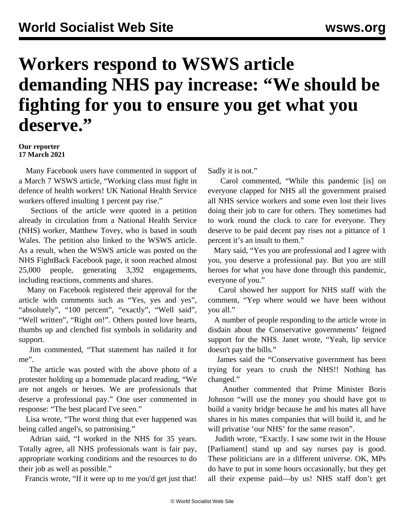## **Workers respond to WSWS article demanding NHS pay increase: "We should be fighting for you to ensure you get what you deserve."**

## **Our reporter 17 March 2021**

 Many Facebook users have commented in support of a March 7 WSWS [article,](/en/articles/2021/03/08/uknu-m08.html?fbclid=IwAR1DQvnfpWqCUznzarzeSEDzsOOWa-2hc1TTol80hnvsPJtjMOwfMH9tLYE) "Working class must fight in defence of health workers! UK National Health Service workers offered insulting 1 percent pay rise."

 Sections of the article were quoted in a petition already in circulation from a National Health Service (NHS) worker, Matthew Tovey, who is based in south Wales. The petition also linked to the WSWS article. As a result, when the WSWS article was posted on the [NHS FightBack](https://www.facebook.com/Fight4theNHS) Facebook page, it soon reached almost 25,000 people, generating 3,392 engagements, including reactions, comments and shares.

 Many on Facebook registered their approval for the article with comments such as "Yes, yes and yes", "absolutely", "100 percent", "exactly", "Well said", "Well written", "Right on!". Others posted love hearts, thumbs up and clenched fist symbols in solidarity and support.

 Jim commented, "That statement has nailed it for me".

 The article was posted with the above photo of a protester holding up a homemade placard reading, "We are not angels or heroes. We are professionals that deserve a professional pay." One user commented in response: "The best placard I've seen."

 Lisa wrote, "The worst thing that ever happened was being called angel's, so patronising."

 Adrian said, "I worked in the NHS for 35 years. Totally agree, all NHS professionals want is fair pay, appropriate working conditions and the resources to do their job as well as possible."

Francis wrote, "If it were up to me you'd get just that!

Sadly it is not."

 Carol commented, "While this pandemic [is] on everyone clapped for NHS all the government praised all NHS service workers and some even lost their lives doing their job to care for others. They sometimes had to work round the clock to care for everyone. They deserve to be paid decent pay rises not a pittance of 1 percent it's an insult to them."

 Mary said, "Yes you are professional and I agree with you, you deserve a professional pay. But you are still heroes for what you have done through this pandemic, everyone of you."

 Carol showed her support for NHS staff with the comment, "Yep where would we have been without you all."

 A number of people responding to the article wrote in disdain about the Conservative governments' feigned support for the NHS. Janet wrote, "Yeah, lip service doesn't pay the bills."

 James said the "Conservative government has been trying for years to crush the NHS!! Nothing has changed."

 Another commented that Prime Minister Boris Johnson "will use the money you should have got to build a vanity bridge because he and his mates all have shares in his mates companies that will build it, and he will privatise 'our NHS' for the same reason".

 Judith wrote, "Exactly. I saw some twit in the House [Parliament] stand up and say nurses pay is good. These politicians are in a different universe. OK, MPs do have to put in some hours occasionally, but they get all their expense paid—by us! NHS staff don't get